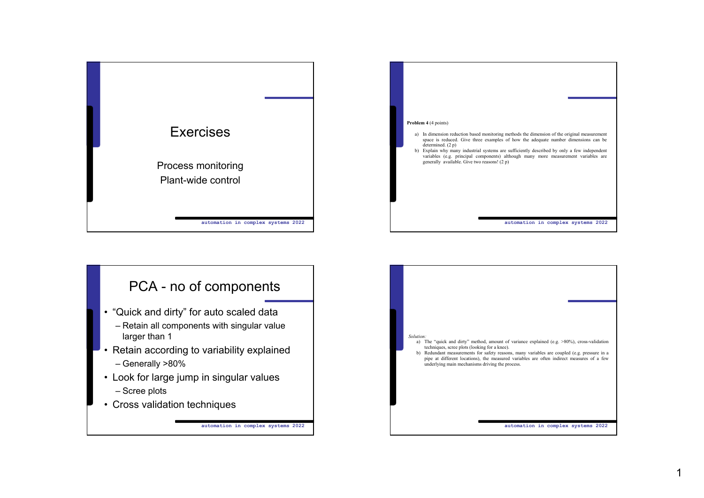



## PCA - no of components

- "Quick and dirty" for auto scaled data
	- Retain all components with singular value larger than 1
- Retain according to variability explained – Generally >80%
- Look for large jump in singular values
	- Scree plots
- Cross validation techniques

**automation in complex systems 2022**